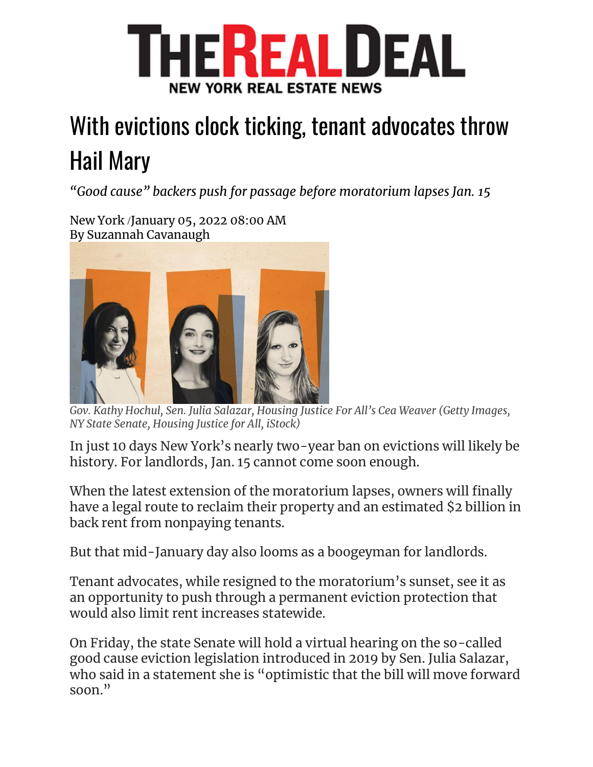

## With evictions clock ticking, tenant advocates throw Hail Mary

*"Good cause" backers push for passage before moratorium lapses Jan. 15*

New York /January 05, 2022 08:00 AM By Suzannah Cavanaugh



*Gov. Kathy Hochul, Sen. Julia Salazar, Housing Justice For All's Cea Weaver (Getty Images, NY State Senate, Housing Justice for All, iStock)*

In just 10 days New York's nearly two-year ban on evictions will likely be history. For landlords, Jan. 15 cannot come soon enough.

When the latest extension of the moratorium lapses, owners will finally have a legal route to reclaim their property and an estimated \$2 billion in back rent from nonpaying tenants.

But that mid-January day also looms as a boogeyman for landlords.

Tenant advocates, while resigned to the moratorium's sunset, see it as an opportunity to push through a permanent eviction protection that would also limit rent increases statewide.

On Friday, the state Senate will hold a virtual hearing on the so-called good cause eviction legislation introduced in 2019 by Sen. Julia Salazar, who said in a statement she is "optimistic that the bill will move forward soon."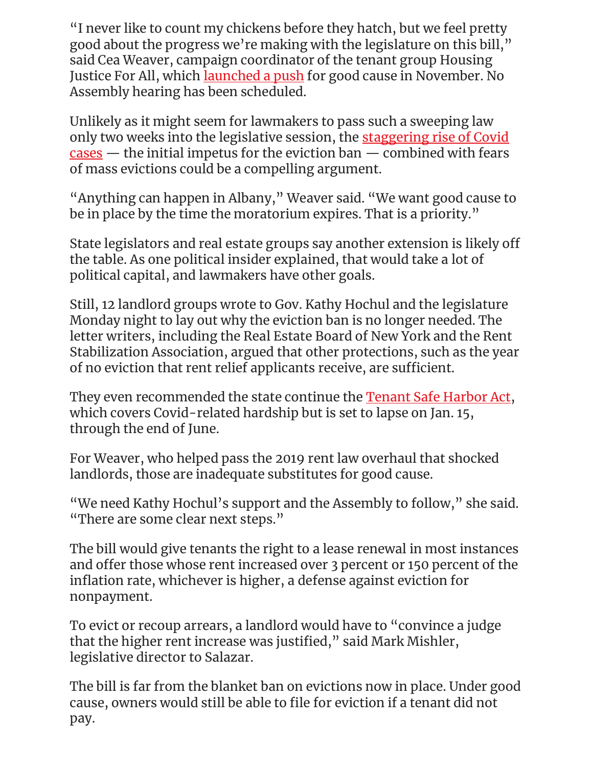"I never like to count my chickens before they hatch, but we feel pretty good about the progress we're making with the legislature on this bill," said Cea Weaver, campaign coordinator of the tenant group Housing Justice For All, which [launched a push](https://therealdeal.com/2021/11/15/housing-advocates-urge-hochul-to-back-good-cause-eviction-kill-421a/) for good cause in November. No Assembly hearing has been scheduled.

Unlikely as it might seem for lawmakers to pass such a sweeping law only two weeks into the legislative session, the [staggering rise of Covid](https://therealdeal.com/2022/01/03/top-banks-keeping-nyc-employees-home-from-wall-street-amid-covid-surge/)   $\frac{cases -}{$  $\frac{cases -}{$  $\frac{cases -}{$  the initial impetus for the eviction ban  $-$  combined with fears of mass evictions could be a compelling argument.

"Anything can happen in Albany," Weaver said. "We want good cause to be in place by the time the moratorium expires. That is a priority."

State legislators and real estate groups say another extension is likely off the table. As one political insider explained, that would take a lot of political capital, and lawmakers have other goals.

Still, 12 landlord groups wrote to Gov. Kathy Hochul and the legislature Monday night to lay out why the eviction ban is no longer needed. The letter writers, including the Real Estate Board of New York and the Rent Stabilization Association, argued that other protections, such as the year of no eviction that rent relief applicants receive, are sufficient.

They even recommended the state continue the **Tenant Safe Harbor Act**, which covers Covid-related hardship but is set to lapse on Jan. 15, through the end of June.

For Weaver, who helped pass the 2019 rent law overhaul that shocked landlords, those are inadequate substitutes for good cause.

"We need Kathy Hochul's support and the Assembly to follow," she said. "There are some clear next steps."

The bill would give tenants the right to a lease renewal in most instances and offer those whose rent increased over 3 percent or 150 percent of the inflation rate, whichever is higher, a defense against eviction for nonpayment.

To evict or recoup arrears, a landlord would have to "convince a judge that the higher rent increase was justified," said Mark Mishler, legislative director to Salazar.

The bill is far from the blanket ban on evictions now in place. Under good cause, owners would still be able to file for eviction if a tenant did not pay.